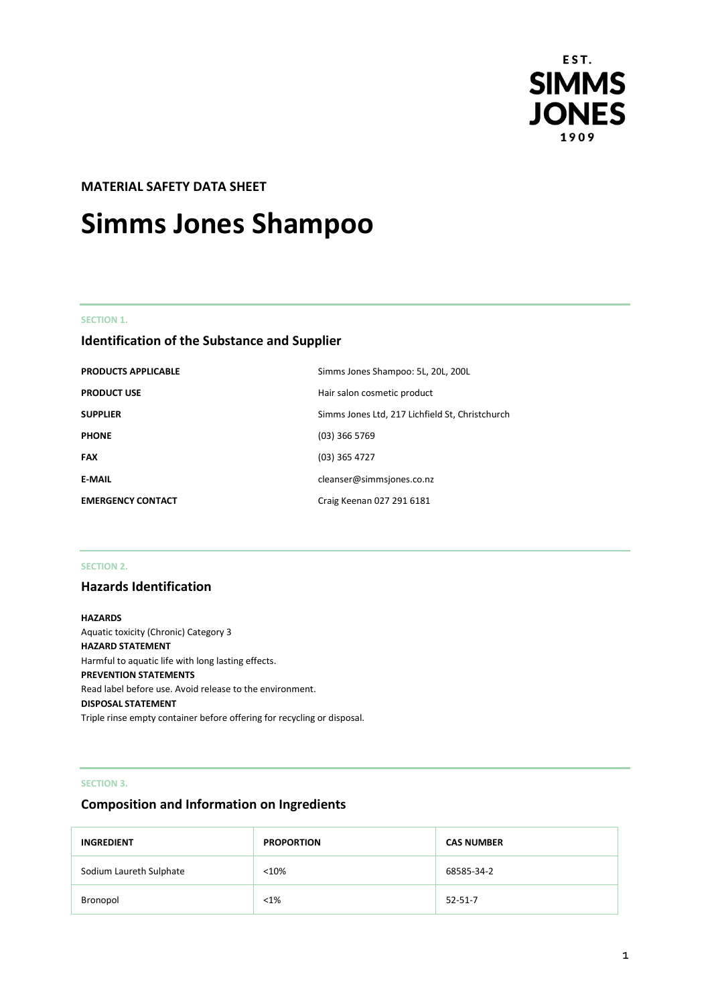

# **MATERIAL SAFETY DATA SHEET**

# **Simms Jones Shampoo**

# **SECTION 1.**

# **Identification of the Substance and Supplier**

| <b>PRODUCTS APPLICABLE</b> | Simms Jones Shampoo: 5L, 20L, 200L              |
|----------------------------|-------------------------------------------------|
| <b>PRODUCT USE</b>         | Hair salon cosmetic product                     |
| <b>SUPPLIER</b>            | Simms Jones Ltd, 217 Lichfield St, Christchurch |
| <b>PHONE</b>               | $(03)$ 366 5769                                 |
| <b>FAX</b>                 | $(03)$ 365 4727                                 |
| <b>E-MAIL</b>              | cleanser@simmsjones.co.nz                       |
| <b>EMERGENCY CONTACT</b>   | Craig Keenan 027 291 6181                       |

#### **SECTION 2.**

# **Hazards Identification**

# **HAZARDS** Aquatic toxicity (Chronic) Category 3 **HAZARD STATEMENT** Harmful to aquatic life with long lasting effects. **PREVENTION STATEMENTS** Read label before use. Avoid release to the environment. **DISPOSAL STATEMENT** Triple rinse empty container before offering for recycling or disposal.

## **SECTION 3.**

# **Composition and Information on Ingredients**

| <b>INGREDIENT</b>       | <b>PROPORTION</b> | <b>CAS NUMBER</b> |
|-------------------------|-------------------|-------------------|
| Sodium Laureth Sulphate | < 10%             | 68585-34-2        |
| Bronopol                | $< 1\%$           | $52 - 51 - 7$     |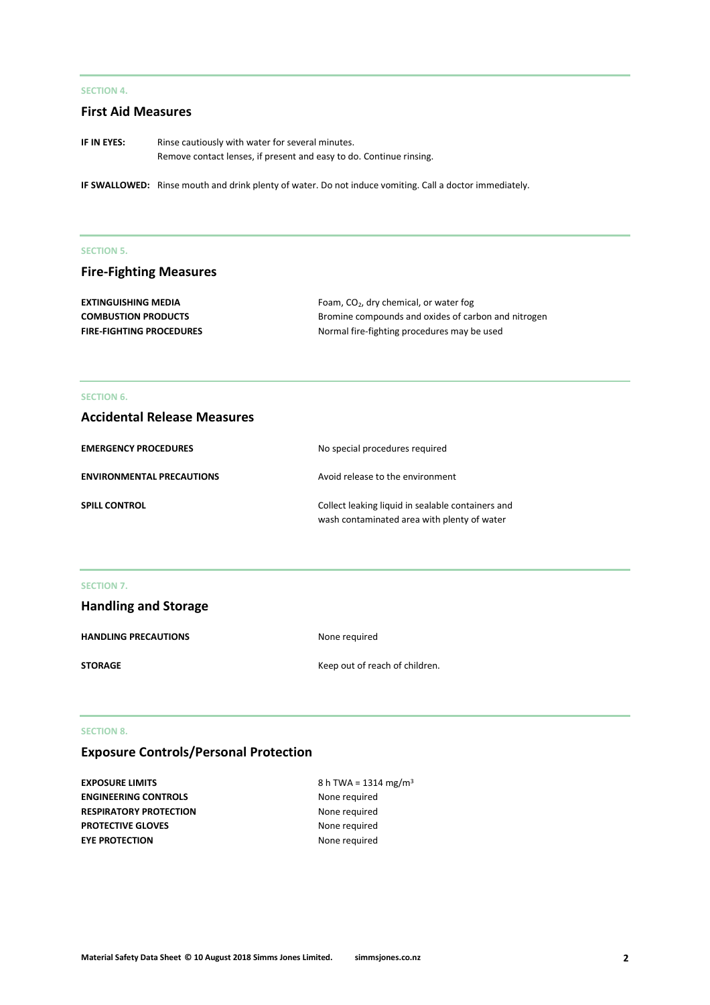# **SECTION 4.**

# **First Aid Measures**

**IF IN EYES:** Rinse cautiously with water for several minutes. Remove contact lenses, if present and easy to do. Continue rinsing.

**IF SWALLOWED:** Rinse mouth and drink plenty of water. Do not induce vomiting. Call a doctor immediately.

#### **SECTION 5.**

# **Fire-Fighting Measures**

| <b>EXTINGUISHING MEDIA</b>      | Foam, $CO2$ , dry chemical, or water fog            |
|---------------------------------|-----------------------------------------------------|
| <b>COMBUSTION PRODUCTS</b>      | Bromine compounds and oxides of carbon and nitrogen |
| <b>FIRE-FIGHTING PROCEDURES</b> | Normal fire-fighting procedures may be used         |

#### **SECTION 6.**

# **Accidental Release Measures**

| <b>EMERGENCY PROCEDURES</b>      | No special procedures required                                                                   |
|----------------------------------|--------------------------------------------------------------------------------------------------|
| <b>ENVIRONMENTAL PRECAUTIONS</b> | Avoid release to the environment                                                                 |
| <b>SPILL CONTROL</b>             | Collect leaking liquid in sealable containers and<br>wash contaminated area with plenty of water |

#### **SECTION 7.**

| <b>Handling and Storage</b> |                                |
|-----------------------------|--------------------------------|
| <b>HANDLING PRECAUTIONS</b> | None required                  |
| <b>STORAGE</b>              | Keep out of reach of children. |

#### **SECTION 8.**

# **Exposure Controls/Personal Protection**

**EXPOSURE LIMITS** 8 h TWA = 1314 mg/m<sup>3</sup> **ENGINEERING CONTROLS** None required **RESPIRATORY PROTECTION** None required **PROTECTIVE GLOVES** None required **EYE PROTECTION** None required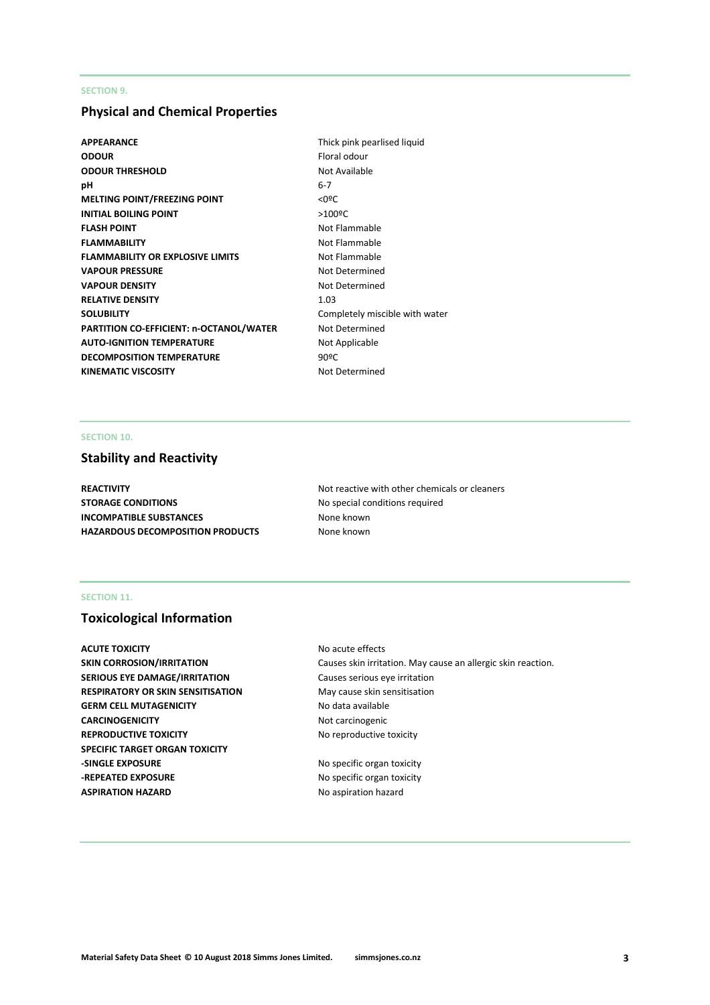# **SECTION 9.**

# **Physical and Chemical Properties**

- **APPEARANCE** Thick pink pearlised liquid **ODOUR** Floral odour **ODOUR THRESHOLD** Not Available **pH** 6-7 **MELTING POINT/FREEZING POINT**  $\leq 0$ **<sup>o</sup>C INITIAL BOILING POINT** >100ºC **FLASH POINT** Not Flammable **FLAMMABILITY** Not Flammable **FLAMMABILITY OR EXPLOSIVE LIMITS** Not Flammable **VAPOUR PRESSURE** Not Determined **VAPOUR DENSITY** Not Determined **RELATIVE DENSITY** 1.03 **SOLUBILITY** Completely miscible with water **PARTITION CO-EFFICIENT: n-OCTANOL/WATER** Not Determined **AUTO-IGNITION TEMPERATURE** Not Applicable **DECOMPOSITION TEMPERATURE** 90°C KINEMATIC VISCOSITY **Not Determined**
- 

# **SECTION 10.**

# **Stability and Reactivity**

**STORAGE CONDITIONS** No special conditions required **INCOMPATIBLE SUBSTANCES** None known **HAZARDOUS DECOMPOSITION PRODUCTS** None known

**REACTIVITY Not reactive with other chemicals or cleaners Not reactive with other chemicals or cleaners** 

# **SECTION 11.**

# **Toxicological Information**

**ACUTE TOXICITY** ACUTE **TOXICITY** ACUTE **NO** acute effects **SERIOUS EYE DAMAGE/IRRITATION** Causes serious eye irritation **RESPIRATORY OR SKIN SENSITISATION** May cause skin sensitisation GERM CELL MUTAGENICITY No data available **CARCINOGENICITY** Not carcinogenic **REPRODUCTIVE TOXICITY No reproductive toxicity SPECIFIC TARGET ORGAN TOXICITY -SINGLE EXPOSURE** No specific organ toxicity **-REPEATED EXPOSURE** No specific organ toxicity **ASPIRATION HAZARD** No aspiration hazard

**SKIN CORROSION/IRRITATION** Causes skin irritation. May cause an allergic skin reaction.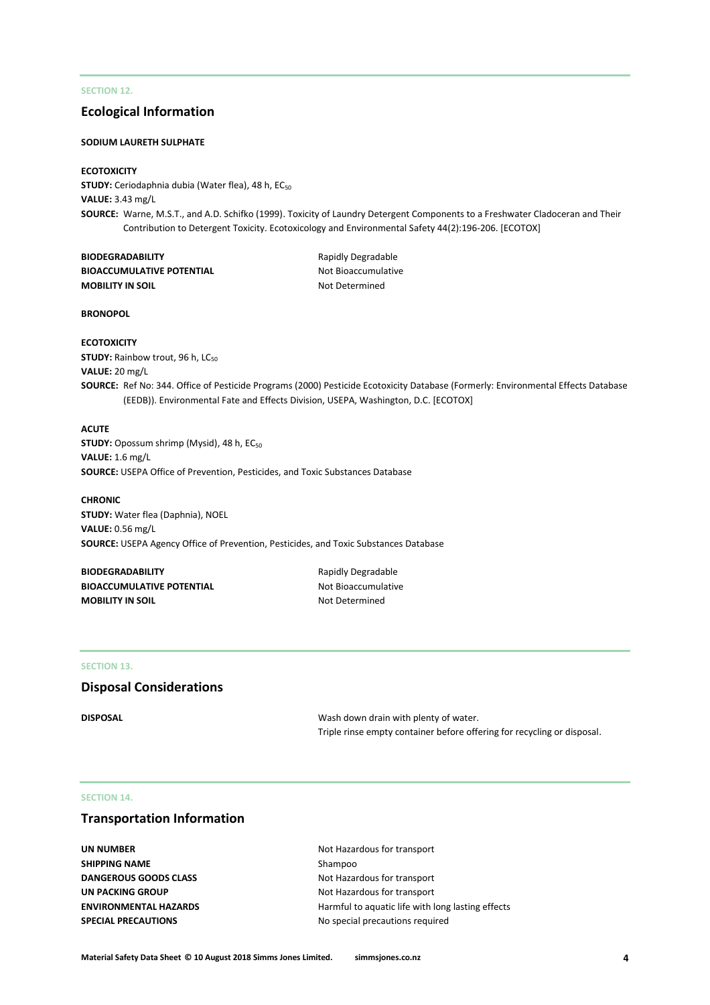# **SECTION 12.**

# **Ecological Information**

#### **SODIUM LAURETH SULPHATE**

#### **ECOTOXICITY**

STUDY: Ceriodaphnia dubia (Water flea), 48 h, EC<sub>50</sub> **VALUE:** 3.43 mg/L **SOURCE:** Warne, M.S.T., and A.D. Schifko (1999). Toxicity of Laundry Detergent Components to a Freshwater Cladoceran and Their Contribution to Detergent Toxicity. Ecotoxicology and Environmental Safety 44(2):196-206. [ECOTOX]

| <b>BIODEGRADABILITY</b>          |
|----------------------------------|
| <b>BIOACCUMULATIVE POTENTIAL</b> |
| <b>MOBILITY IN SOIL</b>          |

**Rapidly Degradable Not Bioaccumulative Not Determined** 

#### **BRONOPOL**

#### **ECOTOXICITY**

**STUDY:** Rainbow trout, 96 h, LC<sub>50</sub> **VALUE:** 20 mg/L

**SOURCE:** Ref No: 344. Office of Pesticide Programs (2000) Pesticide Ecotoxicity Database (Formerly: Environmental Effects Database (EEDB)). Environmental Fate and Effects Division, USEPA, Washington, D.C. [ECOTOX]

#### **ACUTE**

**STUDY:** Opossum shrimp (Mysid), 48 h, EC<sub>50</sub> **VALUE:** 1.6 mg/L **SOURCE:** USEPA Office of Prevention, Pesticides, and Toxic Substances Database

#### **CHRONIC**

**STUDY:** Water flea (Daphnia), NOEL **VALUE:** 0.56 mg/L **SOURCE:** USEPA Agency Office of Prevention, Pesticides, and Toxic Substances Database

**BIODEGRADABILITY** Rapidly Degradable **BIOACCUMULATIVE POTENTIAL** Not Bioaccumulative **MOBILITY IN SOIL** MOBILITY IN SOIL

#### **SECTION 13.**

# **Disposal Considerations**

**DISPOSAL** DISPOSAL DISPOSAL DISPOSAL Triple rinse empty container before offering for recycling or disposal.

#### **SECTION 14.**

# **Transportation Information**

**UN NUMBER** Not Hazardous for transport **SHIPPING NAME** Shampoo **DANGEROUS GOODS CLASS** Not Hazardous for transport **UN PACKING GROUP** Not Hazardous for transport

**ENVIRONMENTAL HAZARDS Harmful to aquatic life with long lasting effects SPECIAL PRECAUTIONS** No special precautions required